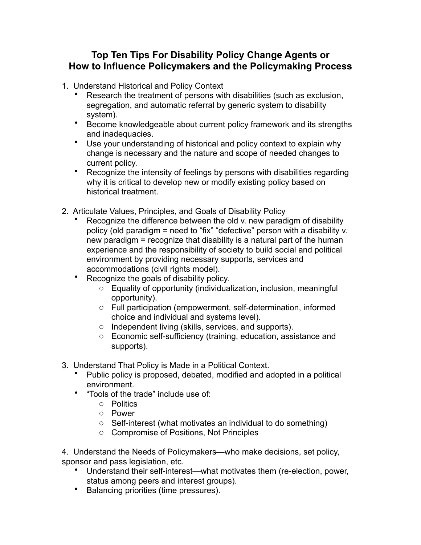## **Top Ten Tips For Disability Policy Change Agents or How to Influence Policymakers and the Policymaking Process**

- 1. Understand Historical and Policy Context
	- Research the treatment of persons with disabilities (such as exclusion, segregation, and automatic referral by generic system to disability system).
	- Become knowledgeable about current policy framework and its strengths and inadequacies.
	- Use your understanding of historical and policy context to explain why change is necessary and the nature and scope of needed changes to current policy.
	- Recognize the intensity of feelings by persons with disabilities regarding why it is critical to develop new or modify existing policy based on historical treatment.
- 2. Articulate Values, Principles, and Goals of Disability Policy
	- Recognize the difference between the old v. new paradigm of disability policy (old paradigm = need to "fix" "defective" person with a disability v. new paradigm = recognize that disability is a natural part of the human experience and the responsibility of society to build social and political environment by providing necessary supports, services and accommodations (civil rights model).
	- Recognize the goals of disability policy.
		- o Equality of opportunity (individualization, inclusion, meaningful opportunity).
		- o Full participation (empowerment, self-determination, informed choice and individual and systems level).
		- o Independent living (skills, services, and supports).
		- o Economic self-sufficiency (training, education, assistance and supports).
- 3. Understand That Policy is Made in a Political Context.
	- Public policy is proposed, debated, modified and adopted in a political environment.
	- "Tools of the trade" include use of:
		- o Politics
		- o Power
		- o Self-interest (what motivates an individual to do something)
		- o Compromise of Positions, Not Principles

4. Understand the Needs of Policymakers—who make decisions, set policy, sponsor and pass legislation, etc.

- Understand their self-interest—what motivates them (re-election, power, status among peers and interest groups).
- Balancing priorities (time pressures).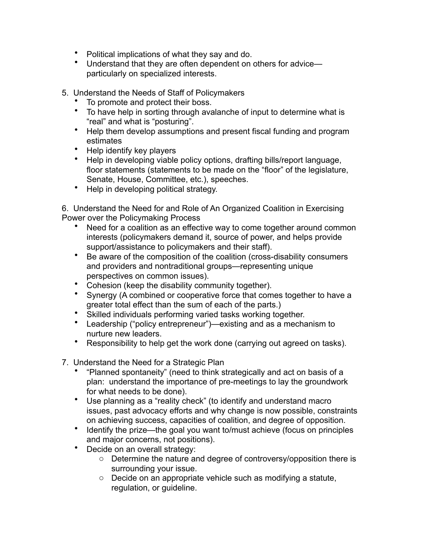- Political implications of what they say and do.
- Understand that they are often dependent on others for advice particularly on specialized interests.
- 5. Understand the Needs of Staff of Policymakers
	- To promote and protect their boss.
	- To have help in sorting through avalanche of input to determine what is "real" and what is "posturing".
	- Help them develop assumptions and present fiscal funding and program estimates
	- Help identify key players
	- Help in developing viable policy options, drafting bills/report language, floor statements (statements to be made on the "floor" of the legislature, Senate, House, Committee, etc.), speeches.
	- Help in developing political strategy.

6. Understand the Need for and Role of An Organized Coalition in Exercising Power over the Policymaking Process

- Need for a coalition as an effective way to come together around common interests (policymakers demand it, source of power, and helps provide support/assistance to policymakers and their staff).
- Be aware of the composition of the coalition (cross-disability consumers and providers and nontraditional groups—representing unique perspectives on common issues).
- Cohesion (keep the disability community together).
- Synergy (A combined or cooperative force that comes together to have a greater total effect than the sum of each of the parts.)
- Skilled individuals performing varied tasks working together.
- Leadership ("policy entrepreneur")—existing and as a mechanism to nurture new leaders.
- Responsibility to help get the work done (carrying out agreed on tasks).
- 7. Understand the Need for a Strategic Plan
	- "Planned spontaneity" (need to think strategically and act on basis of a plan: understand the importance of pre-meetings to lay the groundwork for what needs to be done).
	- Use planning as a "reality check" (to identify and understand macro issues, past advocacy efforts and why change is now possible, constraints on achieving success, capacities of coalition, and degree of opposition.
	- Identify the prize—the goal you want to/must achieve (focus on principles and major concerns, not positions).
	- Decide on an overall strategy:
		- o Determine the nature and degree of controversy/opposition there is surrounding your issue.
		- o Decide on an appropriate vehicle such as modifying a statute, regulation, or guideline.